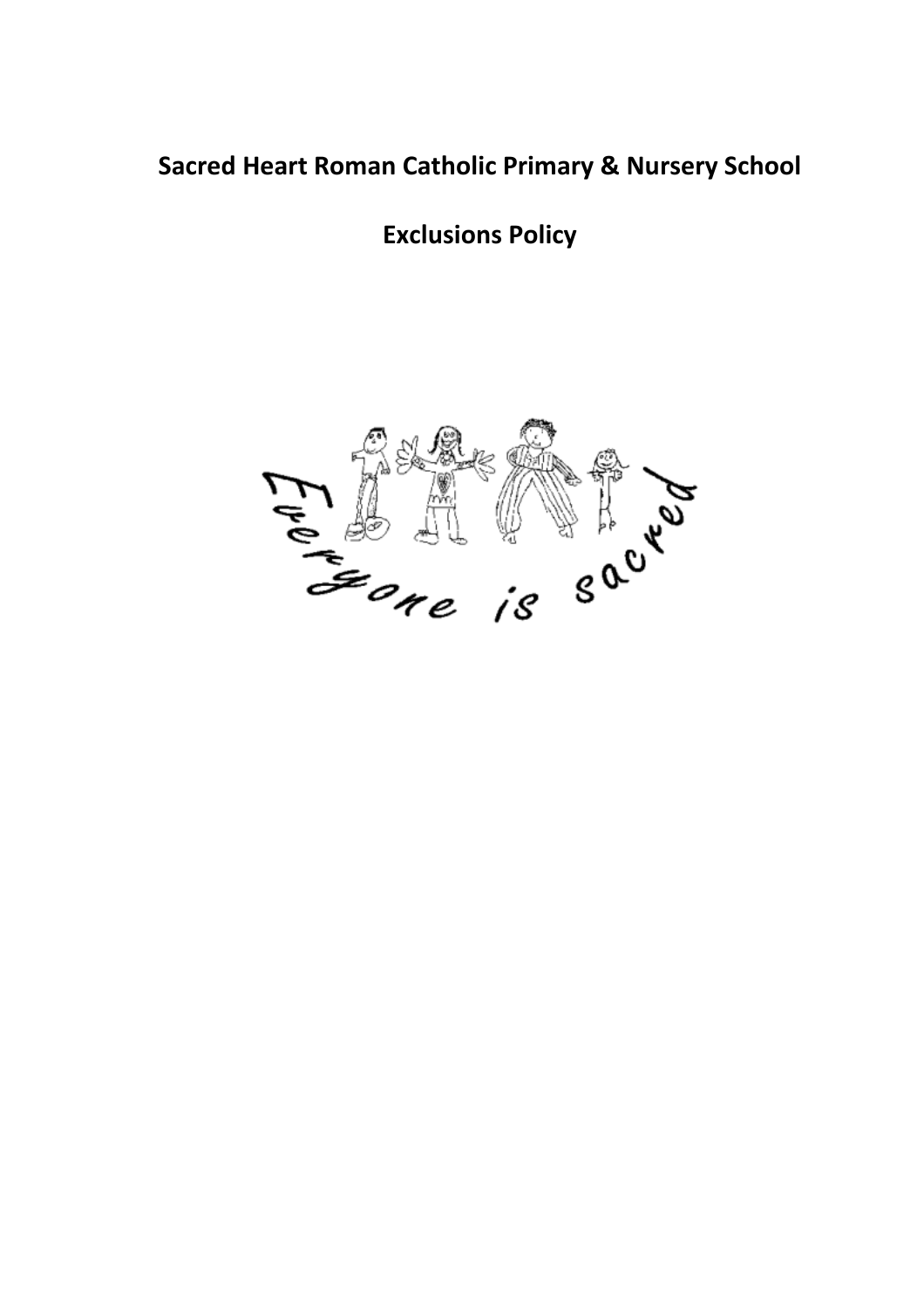# **Sacred Heart Roman Catholic Primary & Nursery School**

**Exclusions Policy** 

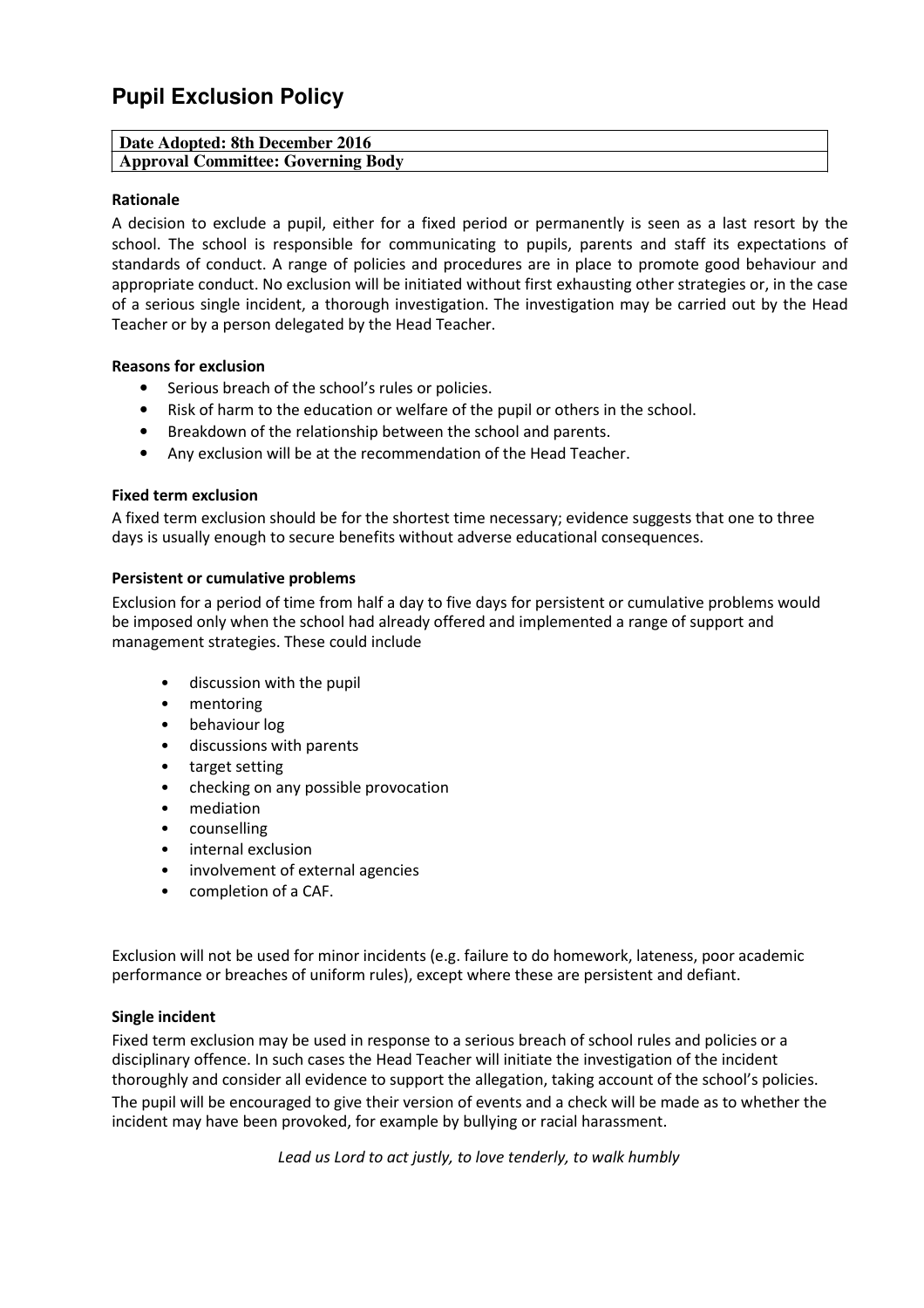# **Pupil Exclusion Policy**

| Date Adopted: 8th December 2016    |  |
|------------------------------------|--|
| Approval Committee: Governing Body |  |

## **Rationale**

A decision to exclude a pupil, either for a fixed period or permanently is seen as a last resort by the school. The school is responsible for communicating to pupils, parents and staff its expectations of standards of conduct. A range of policies and procedures are in place to promote good behaviour and appropriate conduct. No exclusion will be initiated without first exhausting other strategies or, in the case of a serious single incident, a thorough investigation. The investigation may be carried out by the Head Teacher or by a person delegated by the Head Teacher.

#### **Reasons for exclusion**

- Serious breach of the school's rules or policies.
- Risk of harm to the education or welfare of the pupil or others in the school.
- Breakdown of the relationship between the school and parents.
- Any exclusion will be at the recommendation of the Head Teacher.

#### **Fixed term exclusion**

A fixed term exclusion should be for the shortest time necessary; evidence suggests that one to three days is usually enough to secure benefits without adverse educational consequences.

#### **Persistent or cumulative problems**

Exclusion for a period of time from half a day to five days for persistent or cumulative problems would be imposed only when the school had already offered and implemented a range of support and management strategies. These could include

- discussion with the pupil
- mentoring
- behaviour log
- discussions with parents
- target setting
- checking on any possible provocation
- mediation
- counselling
- internal exclusion
- involvement of external agencies
- completion of a CAF.

Exclusion will not be used for minor incidents (e.g. failure to do homework, lateness, poor academic performance or breaches of uniform rules), except where these are persistent and defiant.

#### **Single incident**

Fixed term exclusion may be used in response to a serious breach of school rules and policies or a disciplinary offence. In such cases the Head Teacher will initiate the investigation of the incident thoroughly and consider all evidence to support the allegation, taking account of the school's policies. The pupil will be encouraged to give their version of events and a check will be made as to whether the incident may have been provoked, for example by bullying or racial harassment.

*Lead us Lord to act justly, to love tenderly, to walk humbly*